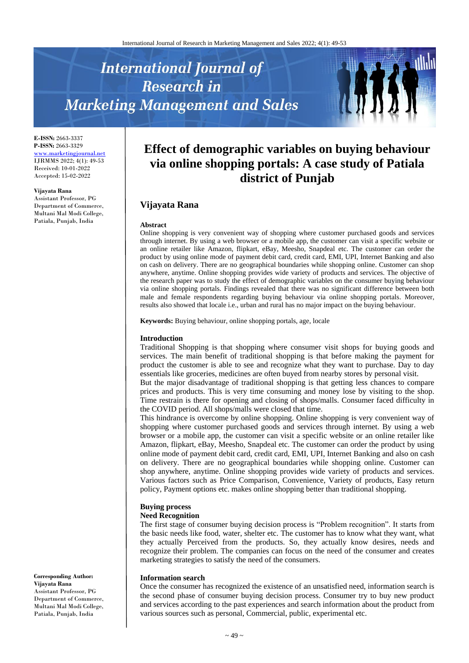# **International Journal of Research in Marketing Management and Sales**



**E-ISSN:** 2663-3337 **P-ISSN:** 2663-3329 [www.marketingjournal.net](http://www.marketingjournal.net/) IJRMMS 2022; 4(1): 49-53 Received: 10-01-2022 Accepted: 15-02-2022

#### **Vijayata Rana**

Assistant Professor, PG Department of Commerce, Multani Mal Modi College, Patiala, Punjab, India

# **Effect of demographic variables on buying behaviour via online shopping portals: A case study of Patiala district of Punjab**

# **Vijayata Rana**

#### **Abstract**

Online shopping is very convenient way of shopping where customer purchased goods and services through internet. By using a web browser or a mobile app, the customer can visit a specific website or an online retailer like Amazon, flipkart, eBay, Meesho, Snapdeal etc. The customer can order the product by using online mode of payment debit card, credit card, EMI, UPI, Internet Banking and also on cash on delivery. There are no geographical boundaries while shopping online. Customer can shop anywhere, anytime. Online shopping provides wide variety of products and services. The objective of the research paper was to study the effect of demographic variables on the consumer buying behaviour via online shopping portals. Findings revealed that there was no significant difference between both male and female respondents regarding buying behaviour via online shopping portals. Moreover, results also showed that locale i.e., urban and rural has no major impact on the buying behaviour.

**Keywords:** Buying behaviour, online shopping portals, age, locale

#### **Introduction**

Traditional Shopping is that shopping where consumer visit shops for buying goods and services. The main benefit of traditional shopping is that before making the payment for product the customer is able to see and recognize what they want to purchase. Day to day essentials like groceries, medicines are often buyed from nearby stores by personal visit.

But the major disadvantage of traditional shopping is that getting less chances to compare prices and products. This is very time consuming and money lose by visiting to the shop. Time restrain is there for opening and closing of shops/malls. Consumer faced difficulty in the COVID period. All shops/malls were closed that time.

This hindrance is overcome by online shopping. Online shopping is very convenient way of shopping where customer purchased goods and services through internet. By using a web browser or a mobile app, the customer can visit a specific website or an online retailer like Amazon, flipkart, eBay, Meesho, Snapdeal etc. The customer can order the product by using online mode of payment debit card, credit card, EMI, UPI, Internet Banking and also on cash on delivery. There are no geographical boundaries while shopping online. Customer can shop anywhere, anytime. Online shopping provides wide variety of products and services. Various factors such as Price Comparison, Convenience, Variety of products, Easy return policy, Payment options etc. makes online shopping better than traditional shopping.

#### **Buying process**

#### **Need Recognition**

The first stage of consumer buying decision process is "Problem recognition". It starts from the basic needs like food, water, shelter etc. The customer has to know what they want, what they actually Perceived from the products. So, they actually know desires, needs and recognize their problem. The companies can focus on the need of the consumer and creates marketing strategies to satisfy the need of the consumers.

#### **Information search**

Once the consumer has recognized the existence of an unsatisfied need, information search is the second phase of consumer buying decision process. Consumer try to buy new product and services according to the past experiences and search information about the product from various sources such as personal, Commercial, public, experimental etc.

#### **Corresponding Author: Vijayata Rana** Assistant Professor, PG Department of Commerce, Multani Mal Modi College, Patiala, Punjab, India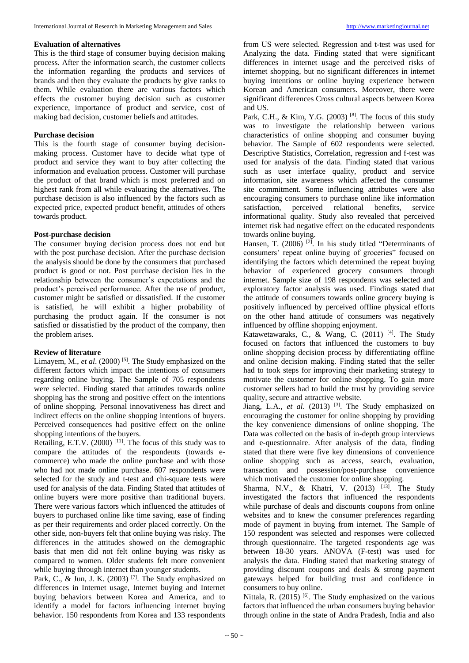#### **Evaluation of alternatives**

This is the third stage of consumer buying decision making process. After the information search, the customer collects the information regarding the products and services of brands and then they evaluate the products by give ranks to them. While evaluation there are various factors which effects the customer buying decision such as customer experience, importance of product and service, cost of making bad decision, customer beliefs and attitudes.

#### **Purchase decision**

This is the fourth stage of consumer buying decisionmaking process. Customer have to decide what type of product and service they want to buy after collecting the information and evaluation process. Customer will purchase the product of that brand which is most preferred and on highest rank from all while evaluating the alternatives. The purchase decision is also influenced by the factors such as expected price, expected product benefit, attitudes of others towards product.

## **Post-purchase decision**

The consumer buying decision process does not end but with the post purchase decision. After the purchase decision the analysis should be done by the consumers that purchased product is good or not. Post purchase decision lies in the relationship between the consumer's expectations and the product's perceived performance. After the use of product, customer might be satisfied or dissatisfied. If the customer is satisfied, he will exhibit a higher probability of purchasing the product again. If the consumer is not satisfied or dissatisfied by the product of the company, then the problem arises.

#### **Review of literature**

Limayem, M., *et al.* (2000)<sup>[5]</sup>. The Study emphasized on the different factors which impact the intentions of consumers regarding online buying. The Sample of 705 respondents were selected. Finding stated that attitudes towards online shopping has the strong and positive effect on the intentions of online shopping. Personal innovativeness has direct and indirect effects on the online shopping intentions of buyers. Perceived consequences had positive effect on the online shopping intentions of the buyers.

Retailing, E.T.V.  $(2000)$ <sup>[11]</sup>. The focus of this study was to compare the attitudes of the respondents (towards ecommerce) who made the online purchase and with those who had not made online purchase. 607 respondents were selected for the study and t-test and chi-square tests were used for analysis of the data. Finding Stated that attitudes of online buyers were more positive than traditional buyers. There were various factors which influenced the attitudes of buyers to purchased online like time saving, ease of finding as per their requirements and order placed correctly. On the other side, non-buyers felt that online buying was risky. The differences in the attitudes showed on the demographic basis that men did not felt online buying was risky as compared to women. Older students felt more convenient while buying through internet than younger students.

Park, C., & Jun, J. K.  $(2003)$ <sup>[7]</sup>. The Study emphasized on differences in Internet usage, Internet buying and Internet buying behaviors between Korea and America, and to identify a model for factors influencing internet buying behavior. 150 respondents from Korea and 133 respondents

from US were selected. Regression and t-test was used for Analyzing the data. Finding stated that were significant differences in internet usage and the perceived risks of internet shopping, but no significant differences in internet buying intentions or online buying experience between Korean and American consumers. Moreover, there were significant differences Cross cultural aspects between Korea and US.

Park, C.H., & Kim, Y.G.  $(2003)$ <sup>[8]</sup>. The focus of this study was to investigate the relationship between various characteristics of online shopping and consumer buying behavior. The Sample of 602 respondents were selected. Descriptive Statistics, Correlation, regression and f-test was used for analysis of the data. Finding stated that various such as user interface quality, product and service information, site awareness which affected the consumer site commitment. Some influencing attributes were also encouraging consumers to purchase online like information satisfaction, perceived relational benefits, service informational quality. Study also revealed that perceived internet risk had negative effect on the educated respondents towards online buying.

Hansen, T. (2006)<sup>[2]</sup>. In his study titled "Determinants of consumers' repeat online buying of groceries" focused on identifying the factors which determined the repeat buying behavior of experienced grocery consumers through internet. Sample size of 198 respondents was selected and exploratory factor analysis was used. Findings stated that the attitude of consumers towards online grocery buying is positively influenced by perceived offline physical efforts on the other hand attitude of consumers was negatively influenced by offline shopping enjoyment.

Katawetawaraks, C., & Wang, C.  $(2011)$ <sup>[4]</sup>. The Study focused on factors that influenced the customers to buy online shopping decision process by differentiating offline and online decision making. Finding stated that the seller had to took steps for improving their marketing strategy to motivate the customer for online shopping. To gain more customer sellers had to build the trust by providing service quality, secure and attractive website.

Jiang, L.A., *et al.* (2013) <sup>[3]</sup>. The Study emphasized on encouraging the customer for online shopping by providing the key convenience dimensions of online shopping. The Data was collected on the basis of in-depth group interviews and e-questionnaire. After analysis of the data, finding stated that there were five key dimensions of convenience online shopping such as access, search, evaluation, transaction and possession/post-purchase convenience which motivated the customer for online shopping.

Sharma, N.V., & Khatri, V. (2013) <sup>[13]</sup>. The Study investigated the factors that influenced the respondents while purchase of deals and discounts coupons from online websites and to knew the consumer preferences regarding mode of payment in buying from internet. The Sample of 150 respondent was selected and responses were collected through questionnaire. The targeted respondents age was between 18-30 years. ANOVA (F-test) was used for analysis the data. Finding stated that marketing strategy of providing discount coupons and deals & strong payment gateways helped for building trust and confidence in consumers to buy online.

Nittala, R. (2015)<sup>[6]</sup>. The Study emphasized on the various factors that influenced the urban consumers buying behavior through online in the state of Andra Pradesh, India and also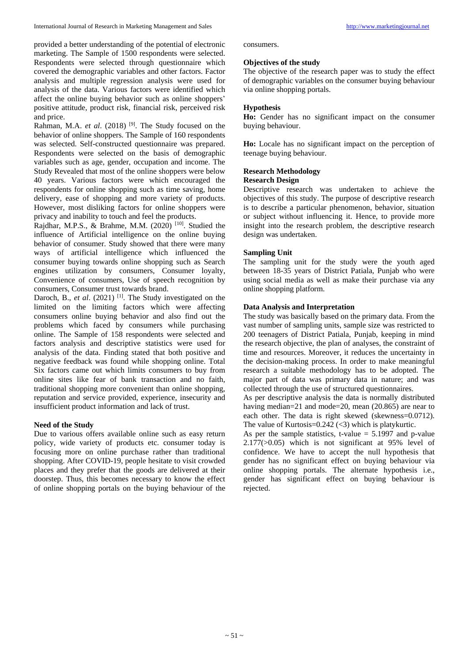provided a better understanding of the potential of electronic marketing. The Sample of 1500 respondents were selected. Respondents were selected through questionnaire which covered the demographic variables and other factors. Factor analysis and multiple regression analysis were used for analysis of the data. Various factors were identified which affect the online buying behavior such as online shoppers' positive attitude, product risk, financial risk, perceived risk and price.

Rahman, M.A. *et al.* (2018)<sup>[9]</sup>. The Study focused on the behavior of online shoppers. The Sample of 160 respondents was selected. Self-constructed questionnaire was prepared. Respondents were selected on the basis of demographic variables such as age, gender, occupation and income. The Study Revealed that most of the online shoppers were below 40 years. Various factors were which encouraged the respondents for online shopping such as time saving, home delivery, ease of shopping and more variety of products. However, most disliking factors for online shoppers were privacy and inability to touch and feel the products.

Rajdhar, M.P.S., & Brahme, M.M. (2020)<sup>[10]</sup>. Studied the influence of Artificial intelligence on the online buying behavior of consumer. Study showed that there were many ways of artificial intelligence which influenced the consumer buying towards online shopping such as Search engines utilization by consumers, Consumer loyalty, Convenience of consumers, Use of speech recognition by consumers, Consumer trust towards brand.

Daroch, B., *et al.* (2021)<sup>[1]</sup>. The Study investigated on the limited on the limiting factors which were affecting consumers online buying behavior and also find out the problems which faced by consumers while purchasing online. The Sample of 158 respondents were selected and factors analysis and descriptive statistics were used for analysis of the data. Finding stated that both positive and negative feedback was found while shopping online. Total Six factors came out which limits consumers to buy from online sites like fear of bank transaction and no faith, traditional shopping more convenient than online shopping, reputation and service provided, experience, insecurity and insufficient product information and lack of trust.

# **Need of the Study**

Due to various offers available online such as easy return policy, wide variety of products etc. consumer today is focusing more on online purchase rather than traditional shopping. After COVID-19, people hesitate to visit crowded places and they prefer that the goods are delivered at their doorstep. Thus, this becomes necessary to know the effect of online shopping portals on the buying behaviour of the consumers.

# **Objectives of the study**

The objective of the research paper was to study the effect of demographic variables on the consumer buying behaviour via online shopping portals.

# **Hypothesis**

**Ho:** Gender has no significant impact on the consumer buying behaviour.

**Ho:** Locale has no significant impact on the perception of teenage buying behaviour.

# **Research Methodology**

# **Research Design**

Descriptive research was undertaken to achieve the objectives of this study. The purpose of descriptive research is to describe a particular phenomenon, behavior, situation or subject without influencing it. Hence, to provide more insight into the research problem, the descriptive research design was undertaken.

# **Sampling Unit**

The sampling unit for the study were the youth aged between 18-35 years of District Patiala, Punjab who were using social media as well as make their purchase via any online shopping platform.

# **Data Analysis and Interpretation**

The study was basically based on the primary data. From the vast number of sampling units, sample size was restricted to 200 teenagers of District Patiala, Punjab, keeping in mind the research objective, the plan of analyses, the constraint of time and resources. Moreover, it reduces the uncertainty in the decision-making process. In order to make meaningful research a suitable methodology has to be adopted. The major part of data was primary data in nature; and was collected through the use of structured questionnaires.

As per descriptive analysis the data is normally distributed having median=21 and mode=20, mean (20.865) are near to each other. The data is right skewed (skewness=0.0712). The value of Kurtosis=0.242 (<3) which is platykurtic.

As per the sample statistics, t-value  $= 5.1997$  and p-value  $2.177(>0.05)$  which is not significant at 95% level of confidence. We have to accept the null hypothesis that gender has no significant effect on buying behaviour via online shopping portals. The alternate hypothesis i.e., gender has significant effect on buying behaviour is rejected.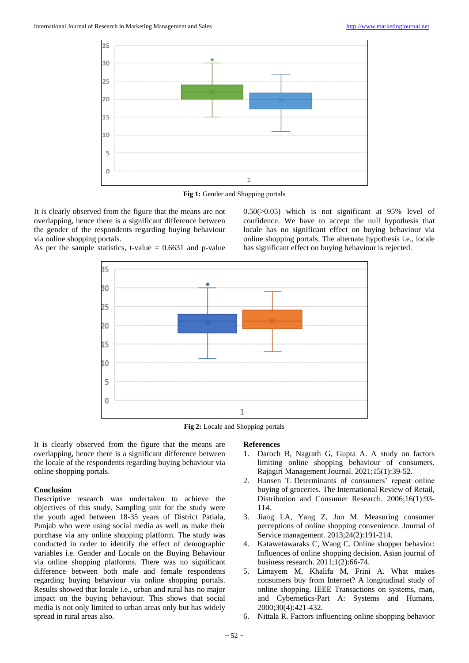

Fig 1: Gender and Shopping portals

It is clearly observed from the figure that the means are not overlapping, hence there is a significant difference between the gender of the respondents regarding buying behaviour via online shopping portals. As per the sample statistics, t-value  $= 0.6631$  and p-value

 $0.50(>0.05)$  which is not significant at 95% level of confidence. We have to accept the null hypothesis that locale has no significant effect on buying behaviour via online shopping portals. The alternate hypothesis i.e., locale has significant effect on buying behaviour is rejected.





**Fig 2:** Locale and Shopping portals

It is clearly observed from the figure that the means are overlapping, hence there is a significant difference between the locale of the respondents regarding buying behaviour via online shopping portals.

# **Conclusion**

Descriptive research was undertaken to achieve the objectives of this study. Sampling unit for the study were the youth aged between 18-35 years of District Patiala, Punjab who were using social media as well as make their purchase via any online shopping platform. The study was conducted in order to identify the effect of demographic variables i.e. Gender and Locale on the Buying Behaviour via online shopping platforms. There was no significant difference between both male and female respondents regarding buying behaviour via online shopping portals. Results showed that locale i.e., urban and rural has no major impact on the buying behaviour. This shows that social media is not only limited to urban areas only but has widely spread in rural areas also.

# **References**

- 1. Daroch B, Nagrath G, Gupta A. A study on factors limiting online shopping behaviour of consumers. Rajagiri Management Journal. 2021;15(1):39-52.
- 2. Hansen T. Determinants of consumers' repeat online buying of groceries. The International Review of Retail, Distribution and Consumer Research. 2006;16(1):93- 114.
- 3. Jiang LA, Yang Z, Jun M. Measuring consumer perceptions of online shopping convenience. Journal of Service management. 2013;24(2):191-214.
- 4. Katawetawaraks C, Wang C. Online shopper behavior: Influences of online shopping decision. Asian journal of business research. 2011;1(2):66-74.
- 5. Limayem M, Khalifa M, Frini A. What makes consumers buy from Internet? A longitudinal study of online shopping. IEEE Transactions on systems, man, and Cybernetics-Part A: Systems and Humans. 2000;30(4):421-432.
- 6. Nittala R. Factors influencing online shopping behavior